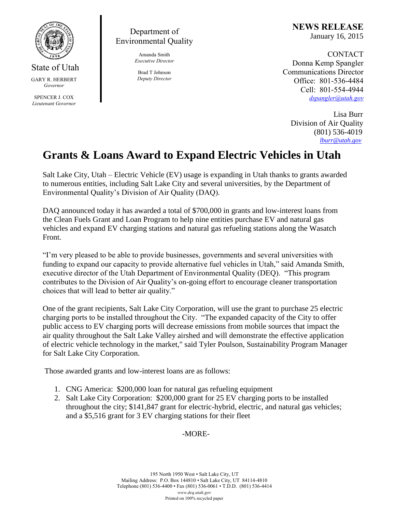

State of Utah GARY R. HERBERT *Governor* SPENCER J. COX *Lieutenant Governor*

Department of Environmental Quality

> Amanda Smith *Executive Director*

Brad T Johnson *Deputy Director* **NEWS RELEASE** January 16, 2015

CONTACT Donna Kemp Spangler Communications Director Office: 801-536-4484 Cell: 801-554-4944 *[dspangler@utah.gov](mailto:dspangler@utah.gov)*

 Lisa Burr Division of Air Quality (801) 536-4019 *[lburr@utah.gov](mailto:lburr@utah.gov)*

## **Grants & Loans Award to Expand Electric Vehicles in Utah**

Salt Lake City, Utah – Electric Vehicle (EV) usage is expanding in Utah thanks to grants awarded to numerous entities, including Salt Lake City and several universities, by the Department of Environmental Quality's Division of Air Quality (DAQ).

DAQ announced today it has awarded a total of \$700,000 in grants and low-interest loans from the Clean Fuels Grant and Loan Program to help nine entities purchase EV and natural gas vehicles and expand EV charging stations and natural gas refueling stations along the Wasatch Front.

"I'm very pleased to be able to provide businesses, governments and several universities with funding to expand our capacity to provide alternative fuel vehicles in Utah," said Amanda Smith, executive director of the Utah Department of Environmental Quality (DEQ). "This program contributes to the Division of Air Quality's on-going effort to encourage cleaner transportation choices that will lead to better air quality."

One of the grant recipients, Salt Lake City Corporation, will use the grant to purchase 25 electric charging ports to be installed throughout the City. "The expanded capacity of the City to offer public access to EV charging ports will decrease emissions from mobile sources that impact the air quality throughout the Salt Lake Valley airshed and will demonstrate the effective application of electric vehicle technology in the market," said Tyler Poulson, Sustainability Program Manager for Salt Lake City Corporation.

Those awarded grants and low-interest loans are as follows:

- 1. CNG America: \$200,000 loan for natural gas refueling equipment
- 2. Salt Lake City Corporation: \$200,000 grant for 25 EV charging ports to be installed throughout the city; \$141,847 grant for electric-hybrid, electric, and natural gas vehicles; and a \$5,516 grant for 3 EV charging stations for their fleet

## -MORE-